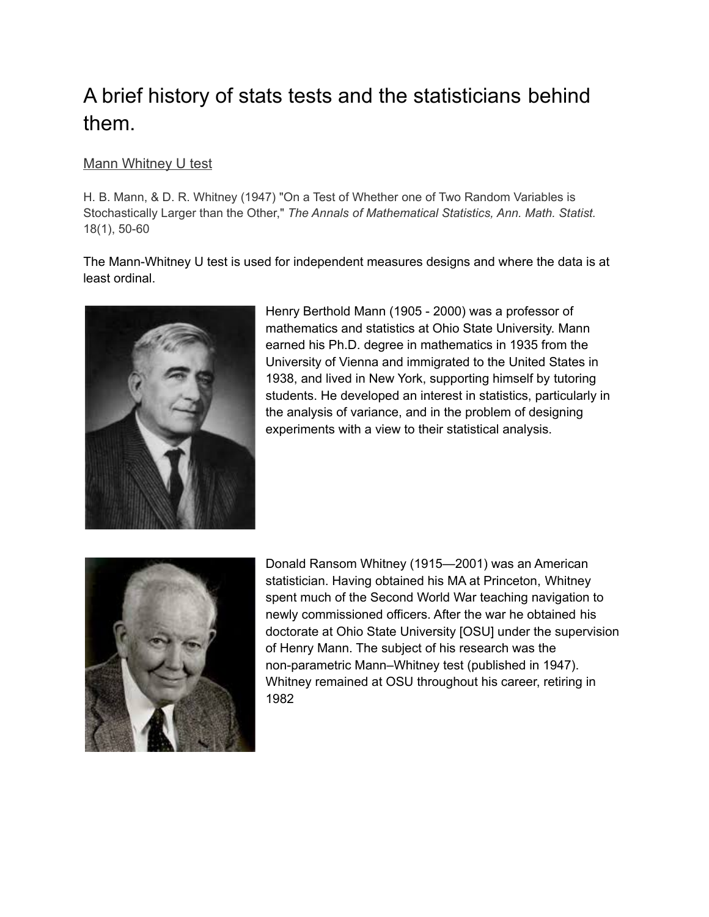# A brief history of stats tests and the statisticians behind them.

## Mann Whitney U test

H. B. Mann, & D. R. Whitney (1947) "On a Test of Whether one of Two Random Variables is Stochastically Larger than the Other," *The Annals of Mathematical Statistics, Ann. Math. Statist.* 18(1), 50-60

The Mann-Whitney U test is used for independent measures designs and where the data is at least ordinal.



Henry Berthold Mann (1905 - 2000) was a professor of mathematics and statistics at Ohio State University. Mann earned his Ph.D. degree in mathematics in 1935 from the University of Vienna and immigrated to the United States in 1938, and lived in New York, supporting himself by tutoring students. He developed an interest in statistics, particularly in the analysis of variance, and in the problem of designing experiments with a view to their statistical analysis.



Donald Ransom Whitney (1915—2001) was an American statistician. Having obtained his MA at Princeton, Whitney spent much of the Second World War teaching navigation to newly commissioned officers. After the war he obtained his doctorate at Ohio State University [OSU] under the supervision of Henry Mann. The subject of his research was the non-parametric Mann–Whitney test (published in 1947). Whitney remained at OSU throughout his career, retiring in 1982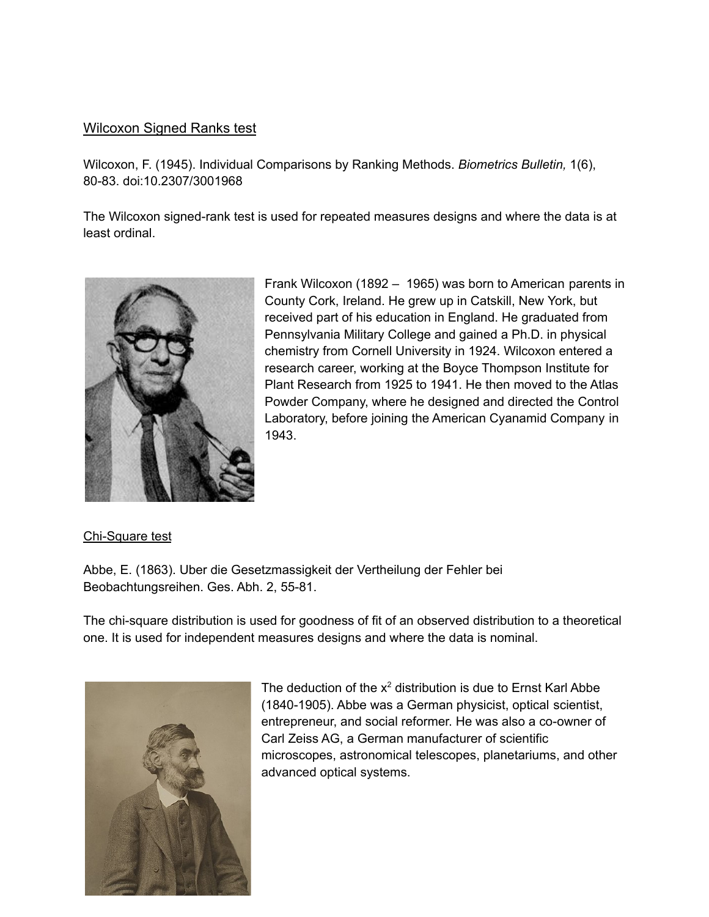### Wilcoxon Signed Ranks test

Wilcoxon, F. (1945). Individual Comparisons by Ranking Methods. *Biometrics Bulletin,* 1(6), 80-83. doi:10.2307/3001968

The Wilcoxon signed-rank test is used for repeated measures designs and where the data is at least ordinal.



Frank Wilcoxon (1892 – 1965) was born to American parents in County Cork, Ireland. He grew up in Catskill, New York, but received part of his education in England. He graduated from Pennsylvania Military College and gained a Ph.D. in physical chemistry from Cornell University in 1924. Wilcoxon entered a research career, working at the Boyce Thompson Institute for Plant Research from 1925 to 1941. He then moved to the Atlas Powder Company, where he designed and directed the Control Laboratory, before joining the American Cyanamid Company in 1943.

#### Chi-Square test

Abbe, E. (1863). Uber die Gesetzmassigkeit der Vertheilung der Fehler bei Beobachtungsreihen. Ges. Abh. 2, 55-81.

The chi-square distribution is used for goodness of fit of an observed distribution to a theoretical one. It is used for independent measures designs and where the data is nominal.



The deduction of the  $x^2$  distribution is due to Ernst Karl Abbe (1840-1905). Abbe was a German physicist, optical scientist, entrepreneur, and social reformer. He was also a co-owner of Carl Zeiss AG, a German manufacturer of scientific microscopes, astronomical telescopes, planetariums, and other advanced optical systems.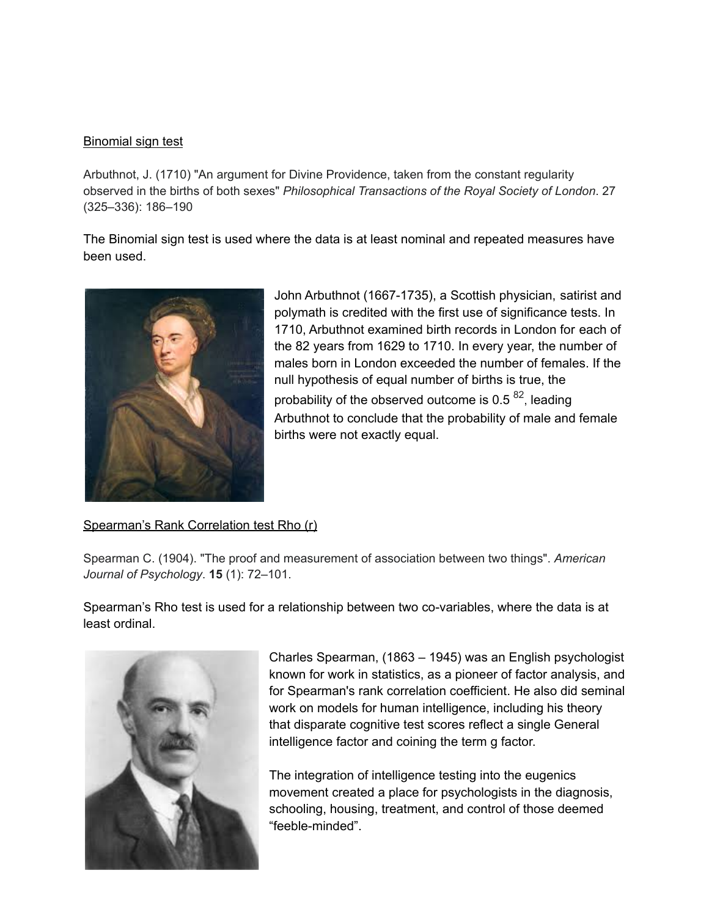#### Binomial sign test

Arbuthnot, J. (1710) "An argument for Divine Providence, taken from the constant regularity observed in the births of both sexes" *Philosophical Transactions of the Royal Society of London*. 27 (325–336): 186–190

The Binomial sign test is used where the data is at least nominal and repeated measures have been used.



John Arbuthnot (1667-1735), a Scottish physician, satirist and polymath is credited with the first use of significance tests. In 1710, Arbuthnot examined birth records in London for each of the 82 years from 1629 to 1710. In every year, the number of males born in London exceeded the number of females. If the null hypothesis of equal number of births is true, the probability of the observed outcome is 0.5  $^{82}$ , leading Arbuthnot to conclude that the probability of male and female births were not exactly equal.

#### Spearman's Rank Correlation test Rho (r)

Spearman C. (1904). "The proof and measurement of association between two things". *American Journal of Psychology*. **15** (1): 72–101.

Spearman's Rho test is used for a relationship between two co-variables, where the data is at least ordinal.



Charles Spearman, (1863 – 1945) was an English psychologist known for work in statistics, as a pioneer of factor analysis, and for Spearman's rank correlation coefficient. He also did seminal work on models for human intelligence, including his theory that disparate cognitive test scores reflect a single General intelligence factor and coining the term g factor.

The integration of intelligence testing into the eugenics movement created a place for psychologists in the diagnosis, schooling, housing, treatment, and control of those deemed "feeble-minded".